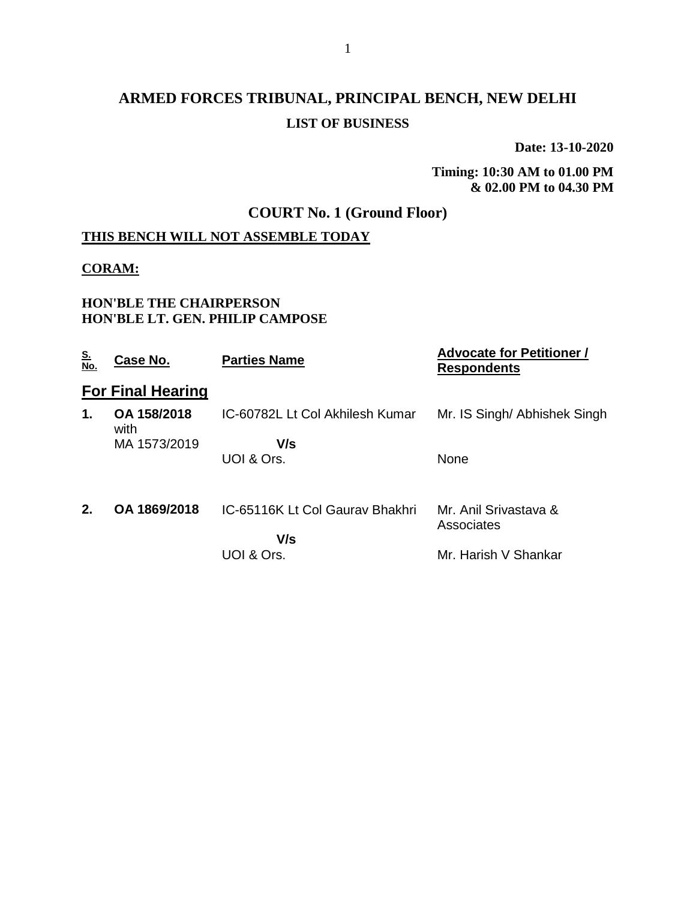## **ARMED FORCES TRIBUNAL, PRINCIPAL BENCH, NEW DELHI LIST OF BUSINESS**

**Date: 13-10-2020**

**Timing: 10:30 AM to 01.00 PM & 02.00 PM to 04.30 PM**

### **COURT No. 1 (Ground Floor)**

### **THIS BENCH WILL NOT ASSEMBLE TODAY**

#### **CORAM:**

#### **HON'BLE THE CHAIRPERSON HON'BLE LT. GEN. PHILIP CAMPOSE**

| <u>S.<br/>No.</u> | Case No.                 | <b>Parties Name</b>             | <b>Advocate for Petitioner /</b><br><b>Respondents</b> |
|-------------------|--------------------------|---------------------------------|--------------------------------------------------------|
|                   | <b>For Final Hearing</b> |                                 |                                                        |
| 1.                | OA 158/2018<br>with      | IC-60782L Lt Col Akhilesh Kumar | Mr. IS Singh/ Abhishek Singh                           |
|                   | MA 1573/2019             | V/s                             |                                                        |
|                   |                          | UOI & Ors.                      | <b>None</b>                                            |
| 2.                | OA 1869/2018             | IC-65116K Lt Col Gauray Bhakhri | Mr. Anil Srivastava &<br>Associates                    |
|                   |                          | V/s                             |                                                        |
|                   |                          | UOI & Ors.                      | Mr. Harish V Shankar                                   |
|                   |                          |                                 |                                                        |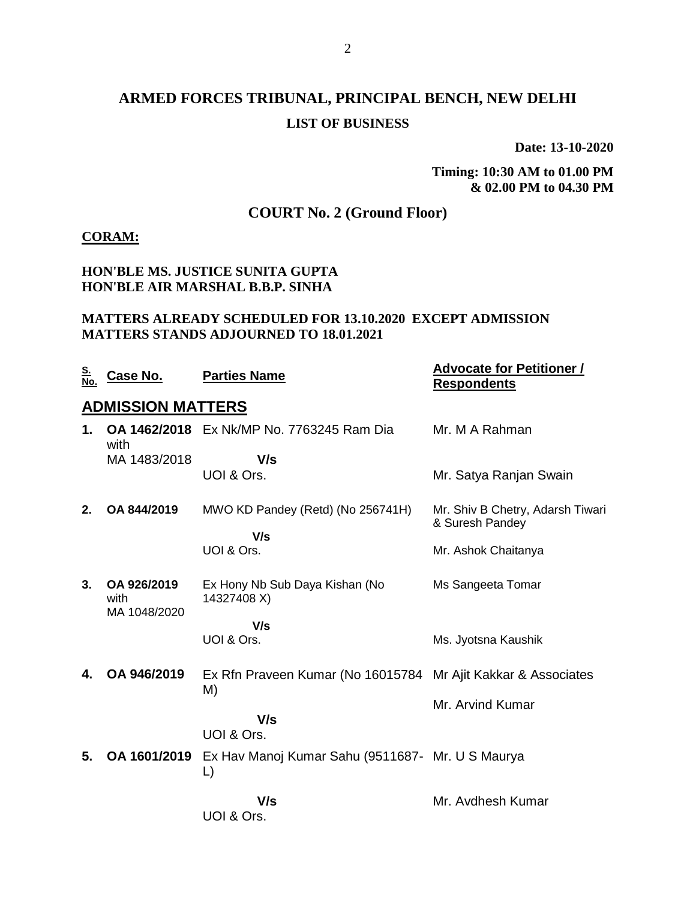## **ARMED FORCES TRIBUNAL, PRINCIPAL BENCH, NEW DELHI LIST OF BUSINESS**

**Date: 13-10-2020**

**Timing: 10:30 AM to 01.00 PM & 02.00 PM to 04.30 PM**

## **COURT No. 2 (Ground Floor)**

#### **CORAM:**

#### **HON'BLE MS. JUSTICE SUNITA GUPTA HON'BLE AIR MARSHAL B.B.P. SINHA**

#### **MATTERS ALREADY SCHEDULED FOR 13.10.2020 EXCEPT ADMISSION MATTERS STANDS ADJOURNED TO 18.01.2021**

| <u>S.</u><br>No. | <b>Case No.</b>                     | <b>Parties Name</b>                                           | <b>Advocate for Petitioner /</b><br><b>Respondents</b> |
|------------------|-------------------------------------|---------------------------------------------------------------|--------------------------------------------------------|
|                  | <b>ADMISSION MATTERS</b>            |                                                               |                                                        |
| 1.               | with                                | <b>OA 1462/2018</b> Ex Nk/MP No. 7763245 Ram Dia              | Mr. M A Rahman                                         |
|                  | MA 1483/2018                        | V/s                                                           |                                                        |
|                  |                                     | UOI & Ors.                                                    | Mr. Satya Ranjan Swain                                 |
| 2.               | OA 844/2019                         | MWO KD Pandey (Retd) (No 256741H)<br>V/s                      | Mr. Shiv B Chetry, Adarsh Tiwari<br>& Suresh Pandey    |
|                  |                                     | UOI & Ors.                                                    | Mr. Ashok Chaitanya                                    |
| 3.               | OA 926/2019<br>with<br>MA 1048/2020 | Ex Hony Nb Sub Daya Kishan (No<br>14327408 X)                 | Ms Sangeeta Tomar                                      |
|                  |                                     | V/s                                                           |                                                        |
|                  |                                     | UOI & Ors.                                                    | Ms. Jyotsna Kaushik                                    |
| 4.               | OA 946/2019                         | Ex Rfn Praveen Kumar (No 16015784 Mr Ajit Kakkar & Associates |                                                        |
|                  |                                     | M)<br>V/s                                                     | Mr. Arvind Kumar                                       |
|                  |                                     | UOI & Ors.                                                    |                                                        |
| 5.               | OA 1601/2019                        | Ex Hav Manoj Kumar Sahu (9511687- Mr. U S Maurya<br>L)        |                                                        |
|                  |                                     | V/s<br>UOI & Ors.                                             | Mr. Avdhesh Kumar                                      |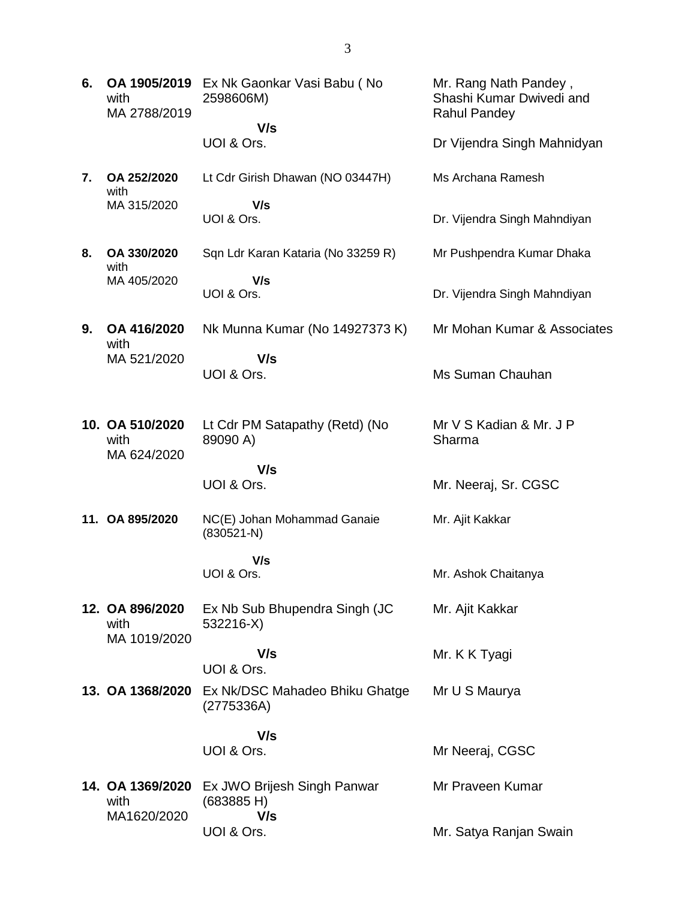| 6. | OA 1905/2019<br>with<br>MA 2788/2019   | Ex Nk Gaonkar Vasi Babu (No<br>2598606M)     | Mr. Rang Nath Pandey,<br>Shashi Kumar Dwivedi and<br><b>Rahul Pandey</b> |
|----|----------------------------------------|----------------------------------------------|--------------------------------------------------------------------------|
|    |                                        | V/s<br>UOI & Ors.                            | Dr Vijendra Singh Mahnidyan                                              |
| 7. | OA 252/2020<br>with                    | Lt Cdr Girish Dhawan (NO 03447H)             | Ms Archana Ramesh                                                        |
|    | MA 315/2020                            | V/s<br>UOI & Ors.                            | Dr. Vijendra Singh Mahndiyan                                             |
| 8. | OA 330/2020<br>with                    | Sqn Ldr Karan Kataria (No 33259 R)           | Mr Pushpendra Kumar Dhaka                                                |
|    | MA 405/2020                            | V/s<br>UOI & Ors.                            | Dr. Vijendra Singh Mahndiyan                                             |
| 9. | OA 416/2020<br>with                    | Nk Munna Kumar (No 14927373 K)               | Mr Mohan Kumar & Associates                                              |
|    | MA 521/2020                            | V/s<br>UOI & Ors.                            | Ms Suman Chauhan                                                         |
|    | 10. OA 510/2020<br>with<br>MA 624/2020 | Lt Cdr PM Satapathy (Retd) (No<br>89090 A)   | Mr V S Kadian & Mr. J P<br>Sharma                                        |
|    |                                        | V/s<br>UOI & Ors.                            | Mr. Neeraj, Sr. CGSC                                                     |
|    | 11. OA 895/2020                        | NC(E) Johan Mohammad Ganaie<br>$(830521-N)$  | Mr. Ajit Kakkar                                                          |
|    |                                        | V/s<br>UOI & Ors.                            | Mr. Ashok Chaitanya                                                      |
|    | 12. OA 896/2020<br>with                | Ex Nb Sub Bhupendra Singh (JC<br>532216-X)   | Mr. Ajit Kakkar                                                          |
|    | MA 1019/2020                           | V/s<br>UOI & Ors.                            | Mr. K K Tyagi                                                            |
|    | 13. OA 1368/2020                       | Ex Nk/DSC Mahadeo Bhiku Ghatge<br>(2775336A) | Mr U S Maurya                                                            |
|    |                                        | V/s<br>UOI & Ors.                            | Mr Neeraj, CGSC                                                          |
|    | 14. OA 1369/2020<br>with               | Ex JWO Brijesh Singh Panwar<br>(683885 H)    | Mr Praveen Kumar                                                         |
|    | MA1620/2020                            | V/s<br>UOI & Ors.                            | Mr. Satya Ranjan Swain                                                   |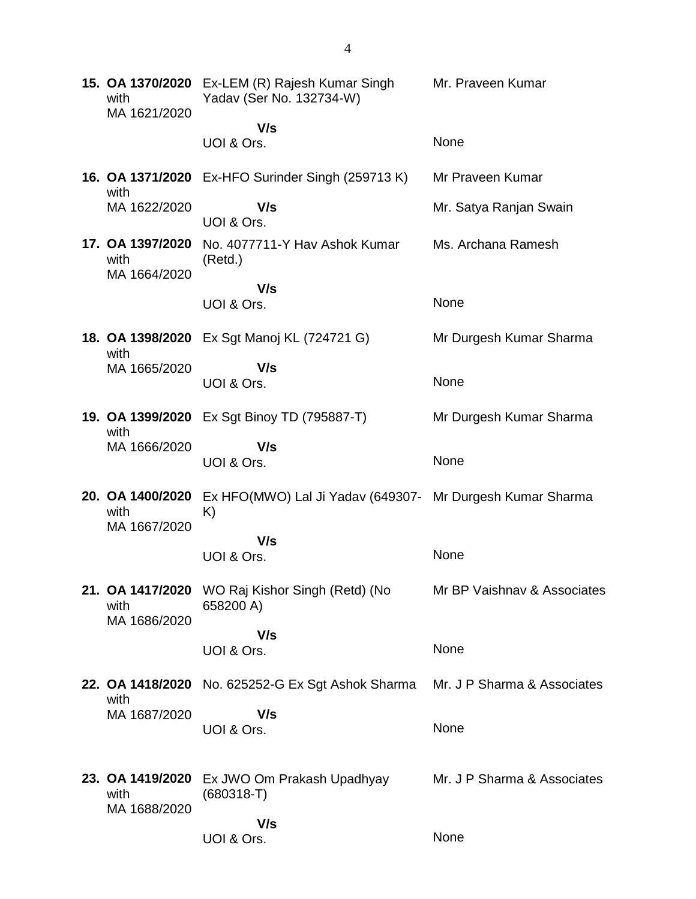| 15. OA 1370/2020<br>with<br>MA 1621/2020 | Ex-LEM (R) Rajesh Kumar Singh<br>Yadav (Ser No. 132734-W)       | Mr. Praveen Kumar           |
|------------------------------------------|-----------------------------------------------------------------|-----------------------------|
|                                          | V/s                                                             |                             |
|                                          | UOI & Ors.                                                      | None                        |
| with                                     | 16. OA 1371/2020 Ex-HFO Surinder Singh (259713 K)               | Mr Praveen Kumar            |
| MA 1622/2020                             | V/s<br>UOI & Ors.                                               | Mr. Satya Ranjan Swain      |
| 17. OA 1397/2020<br>with<br>MA 1664/2020 | No. 4077711-Y Hav Ashok Kumar<br>(Retd.)                        | Ms. Archana Ramesh          |
|                                          | V/s<br>UOI & Ors.                                               | None                        |
| with                                     | 18. OA 1398/2020 Ex Sgt Manoj KL (724721 G)                     | Mr Durgesh Kumar Sharma     |
| MA 1665/2020                             | V/s<br>UOI & Ors.                                               | None                        |
| 19. OA 1399/2020<br>with                 | Ex Sgt Binoy TD (795887-T)                                      | Mr Durgesh Kumar Sharma     |
| MA 1666/2020                             | V/s<br>UOI & Ors.                                               | None                        |
| 20. OA 1400/2020<br>with                 | Ex HFO(MWO) Lal Ji Yadav (649307- Mr Durgesh Kumar Sharma<br>K) |                             |
| MA 1667/2020                             |                                                                 |                             |
|                                          | V/s<br>UOI & Ors.                                               | None                        |
| 21. OA 1417/2020<br>with                 | WO Raj Kishor Singh (Retd) (No<br>658200 A)                     | Mr BP Vaishnav & Associates |
| MA 1686/2020                             | V/s                                                             |                             |
|                                          | UOI & Ors.                                                      | None                        |
| with                                     | 22. OA 1418/2020 No. 625252-G Ex Sgt Ashok Sharma               | Mr. J P Sharma & Associates |
| MA 1687/2020                             | V/s<br>UOI & Ors.                                               | None                        |
|                                          |                                                                 |                             |
| 23. OA 1419/2020<br>with<br>MA 1688/2020 | Ex JWO Om Prakash Upadhyay<br>$(680318-T)$                      | Mr. J P Sharma & Associates |
|                                          | V/s<br>UOI & Ors.                                               | None                        |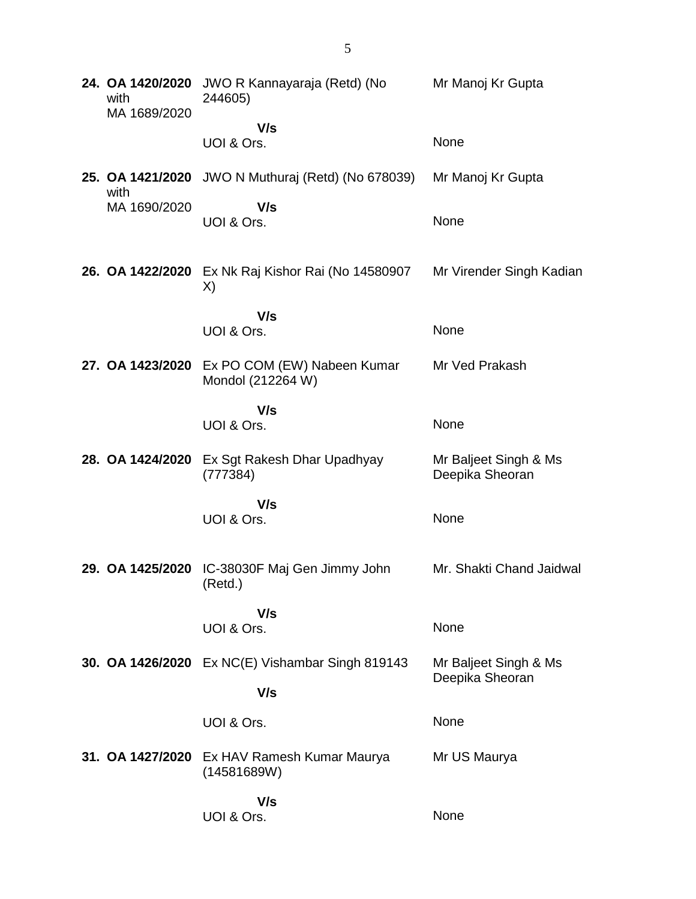| 24. OA 1420/2020<br>with<br>MA 1689/2020 | JWO R Kannayaraja (Retd) (No<br>244605)                    | Mr Manoj Kr Gupta                        |
|------------------------------------------|------------------------------------------------------------|------------------------------------------|
|                                          | V/s<br>UOI & Ors.                                          | None                                     |
| with                                     | 25. OA 1421/2020 JWO N Muthuraj (Retd) (No 678039)         | Mr Manoj Kr Gupta                        |
| MA 1690/2020                             | V/s<br>UOI & Ors.                                          | None                                     |
|                                          | 26. OA 1422/2020 Ex Nk Raj Kishor Rai (No 14580907<br>X)   | Mr Virender Singh Kadian                 |
|                                          | V/s<br>UOI & Ors.                                          | None                                     |
| 27. OA 1423/2020                         | Ex PO COM (EW) Nabeen Kumar<br>Mondol (212264 W)           | Mr Ved Prakash                           |
|                                          | V/s<br>UOI & Ors.                                          | None                                     |
| 28. OA 1424/2020                         | Ex Sgt Rakesh Dhar Upadhyay<br>(777384)                    | Mr Baljeet Singh & Ms<br>Deepika Sheoran |
|                                          | V/s<br>UOI & Ors.                                          | None                                     |
|                                          | 29. OA 1425/2020 IC-38030F Maj Gen Jimmy John<br>(Retd.)   | Mr. Shakti Chand Jaidwal                 |
|                                          | V/s<br>UOI & Ors.                                          | None                                     |
|                                          | 30. OA 1426/2020 Ex NC(E) Vishambar Singh 819143<br>V/s    | Mr Baljeet Singh & Ms<br>Deepika Sheoran |
|                                          | UOI & Ors.                                                 | None                                     |
|                                          | 31. OA 1427/2020 Ex HAV Ramesh Kumar Maurya<br>(14581689W) | Mr US Maurya                             |
|                                          | V/s<br>UOI & Ors.                                          | None                                     |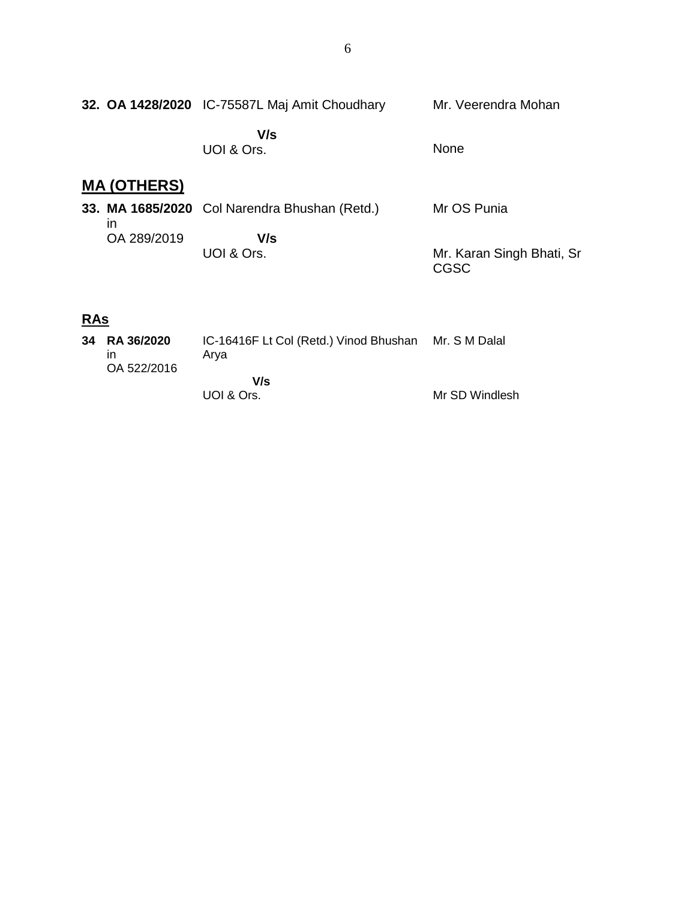|                    | 32. OA 1428/2020 IC-75587L Maj Amit Choudhary | Mr. Veerendra Mohan                      |
|--------------------|-----------------------------------------------|------------------------------------------|
|                    | V/s<br>UOI & Ors.                             | <b>None</b>                              |
| <b>MA (OTHERS)</b> |                                               |                                          |
| $\mathsf{I}$       | 33. MA 1685/2020 Col Narendra Bhushan (Retd.) | Mr OS Punia                              |
| OA 289/2019        | V/s<br>UOI & Ors.                             | Mr. Karan Singh Bhati, Sr<br><b>CGSC</b> |

# **RAs**

| 34 RA 36/2020<br>ın<br>OA 522/2016 | IC-16416F Lt Col (Retd.) Vinod Bhushan Mr. S M Dalal<br>Arva |                |
|------------------------------------|--------------------------------------------------------------|----------------|
|                                    | V/s<br>UOI & Ors.                                            | Mr SD Windlesh |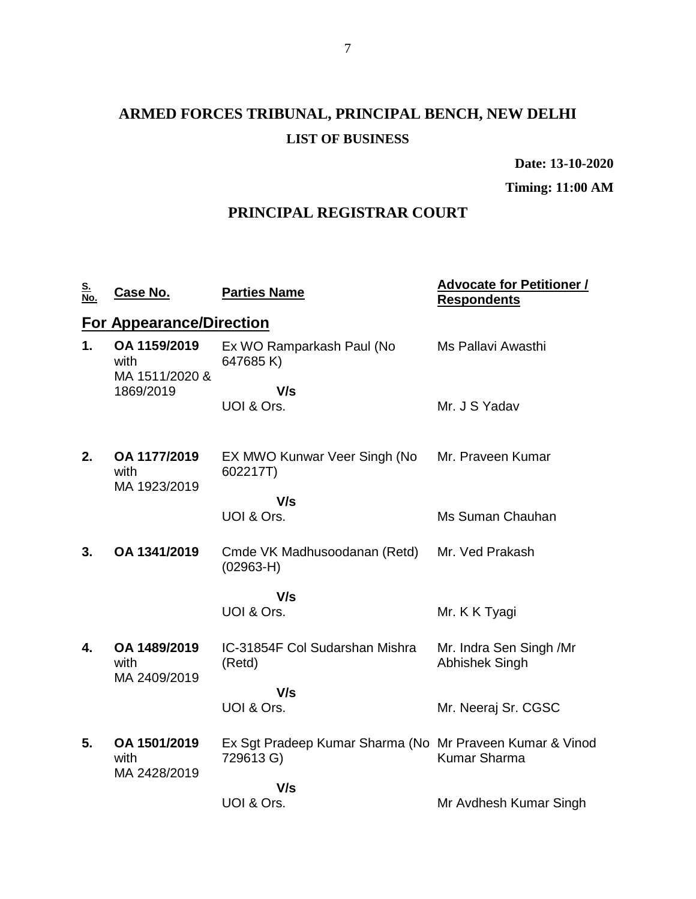# **ARMED FORCES TRIBUNAL, PRINCIPAL BENCH, NEW DELHI LIST OF BUSINESS**

**Date: 13-10-2020**

**Timing: 11:00 AM**

## **PRINCIPAL REGISTRAR COURT**

| <u>S.</u><br>No. | Case No.                               | <b>Parties Name</b>                                                   | <b>Advocate for Petitioner /</b><br><b>Respondents</b> |
|------------------|----------------------------------------|-----------------------------------------------------------------------|--------------------------------------------------------|
|                  | <b>For Appearance/Direction</b>        |                                                                       |                                                        |
| 1.               | OA 1159/2019<br>with<br>MA 1511/2020 & | Ex WO Ramparkash Paul (No<br>647685K)                                 | Ms Pallavi Awasthi                                     |
|                  | 1869/2019                              | V/s                                                                   |                                                        |
|                  |                                        | UOI & Ors.                                                            | Mr. J S Yadav                                          |
| 2.               | OA 1177/2019<br>with<br>MA 1923/2019   | EX MWO Kunwar Veer Singh (No<br>602217T)                              | Mr. Praveen Kumar                                      |
|                  |                                        | V/s                                                                   |                                                        |
|                  |                                        | UOI & Ors.                                                            | Ms Suman Chauhan                                       |
| 3.               | OA 1341/2019                           | Cmde VK Madhusoodanan (Retd)<br>$(02963-H)$                           | Mr. Ved Prakash                                        |
|                  |                                        | V/s                                                                   |                                                        |
|                  |                                        | UOI & Ors.                                                            | Mr. K K Tyagi                                          |
| 4.               | OA 1489/2019<br>with<br>MA 2409/2019   | IC-31854F Col Sudarshan Mishra<br>(Retd)                              | Mr. Indra Sen Singh /Mr<br><b>Abhishek Singh</b>       |
|                  |                                        | V/s                                                                   |                                                        |
|                  |                                        | UOI & Ors.                                                            | Mr. Neeraj Sr. CGSC                                    |
| 5.               | OA 1501/2019<br>with<br>MA 2428/2019   | Ex Sgt Pradeep Kumar Sharma (No Mr Praveen Kumar & Vinod<br>729613 G) | <b>Kumar Sharma</b>                                    |
|                  |                                        | V/s                                                                   |                                                        |
|                  |                                        | UOI & Ors.                                                            | Mr Avdhesh Kumar Singh                                 |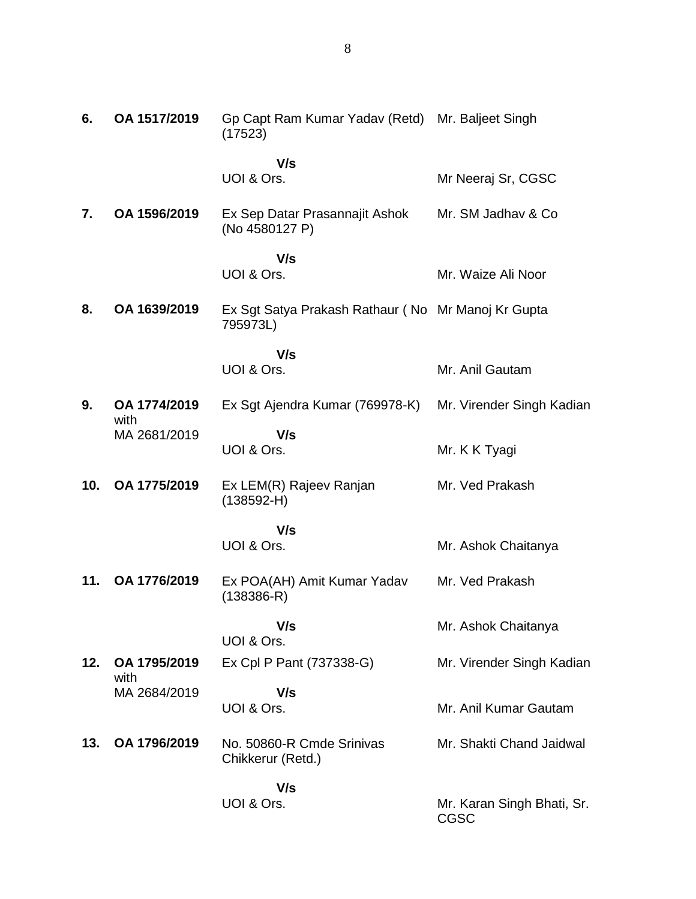| 6.  | OA 1517/2019         | Gp Capt Ram Kumar Yadav (Retd) Mr. Baljeet Singh<br>(17523)    |                                           |
|-----|----------------------|----------------------------------------------------------------|-------------------------------------------|
|     |                      | V/s<br>UOI & Ors.                                              | Mr Neeraj Sr, CGSC                        |
| 7.  | OA 1596/2019         | Ex Sep Datar Prasannajit Ashok<br>(No 4580127 P)               | Mr. SM Jadhav & Co.                       |
|     |                      | V/s<br>UOI & Ors.                                              | Mr. Waize Ali Noor                        |
| 8.  | OA 1639/2019         | Ex Sgt Satya Prakash Rathaur (No Mr Manoj Kr Gupta<br>795973L) |                                           |
|     |                      | V/s                                                            |                                           |
|     |                      | UOI & Ors.                                                     | Mr. Anil Gautam                           |
| 9.  | OA 1774/2019<br>with | Ex Sgt Ajendra Kumar (769978-K)                                | Mr. Virender Singh Kadian                 |
|     | MA 2681/2019         | V/s<br>UOI & Ors.                                              | Mr. K K Tyagi                             |
| 10. | OA 1775/2019         | Ex LEM(R) Rajeev Ranjan<br>$(138592 - H)$                      | Mr. Ved Prakash                           |
|     |                      | V/s                                                            |                                           |
|     |                      | UOI & Ors.                                                     | Mr. Ashok Chaitanya                       |
| 11. | OA 1776/2019         | Ex POA(AH) Amit Kumar Yadav<br>$(138386 - R)$                  | Mr. Ved Prakash                           |
|     |                      | V/s<br>UOI & Ors.                                              | Mr. Ashok Chaitanya                       |
| 12. | OA 1795/2019         | Ex Cpl P Pant (737338-G)                                       | Mr. Virender Singh Kadian                 |
|     | with<br>MA 2684/2019 | V/s<br>UOI & Ors.                                              | Mr. Anil Kumar Gautam                     |
| 13. | OA 1796/2019         | No. 50860-R Cmde Srinivas<br>Chikkerur (Retd.)                 | Mr. Shakti Chand Jaidwal                  |
|     |                      | V/s                                                            |                                           |
|     |                      | UOI & Ors.                                                     | Mr. Karan Singh Bhati, Sr.<br><b>CGSC</b> |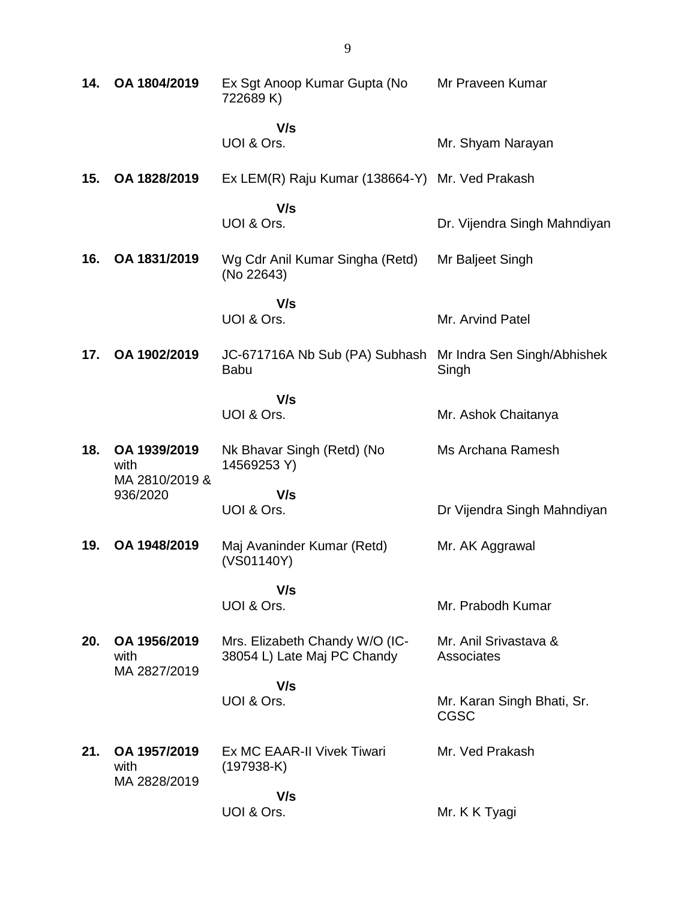| 14. | OA 1804/2019                           | Ex Sgt Anoop Kumar Gupta (No<br>722689 K)                     | Mr Praveen Kumar                     |
|-----|----------------------------------------|---------------------------------------------------------------|--------------------------------------|
|     |                                        | V/s<br>UOI & Ors.                                             | Mr. Shyam Narayan                    |
| 15. | OA 1828/2019                           | Ex LEM(R) Raju Kumar (138664-Y) Mr. Ved Prakash               |                                      |
|     |                                        | V/s<br>UOI & Ors.                                             | Dr. Vijendra Singh Mahndiyan         |
| 16. | OA 1831/2019                           | Wg Cdr Anil Kumar Singha (Retd)<br>(No 22643)                 | Mr Baljeet Singh                     |
|     |                                        | V/s<br>UOI & Ors.                                             | Mr. Arvind Patel                     |
| 17. | OA 1902/2019                           | JC-671716A Nb Sub (PA) Subhash<br><b>Babu</b>                 | Mr Indra Sen Singh/Abhishek<br>Singh |
|     |                                        | V/s<br>UOI & Ors.                                             | Mr. Ashok Chaitanya                  |
| 18. | OA 1939/2019<br>with<br>MA 2810/2019 & | Nk Bhavar Singh (Retd) (No<br>14569253 Y)                     | Ms Archana Ramesh                    |
|     | 936/2020                               | V/s<br>UOI & Ors.                                             | Dr Vijendra Singh Mahndiyan          |
| 19. | OA 1948/2019                           | Maj Avaninder Kumar (Retd)<br>(VS01140Y)                      | Mr. AK Aggrawal                      |
|     |                                        | V/s<br>UOI & Ors.                                             | Mr. Prabodh Kumar                    |
|     |                                        |                                                               |                                      |
| 20. | OA 1956/2019<br>with<br>MA 2827/2019   | Mrs. Elizabeth Chandy W/O (IC-<br>38054 L) Late Maj PC Chandy | Mr. Anil Srivastava &<br>Associates  |
|     |                                        | V/s<br>UOI & Ors.                                             | Mr. Karan Singh Bhati, Sr.           |
|     |                                        |                                                               | CGSC                                 |
| 21. | OA 1957/2019<br>with<br>MA 2828/2019   | Ex MC EAAR-II Vivek Tiwari<br>$(197938-K)$                    | Mr. Ved Prakash                      |
|     |                                        | V/s<br>UOI & Ors.                                             | Mr. K K Tyagi                        |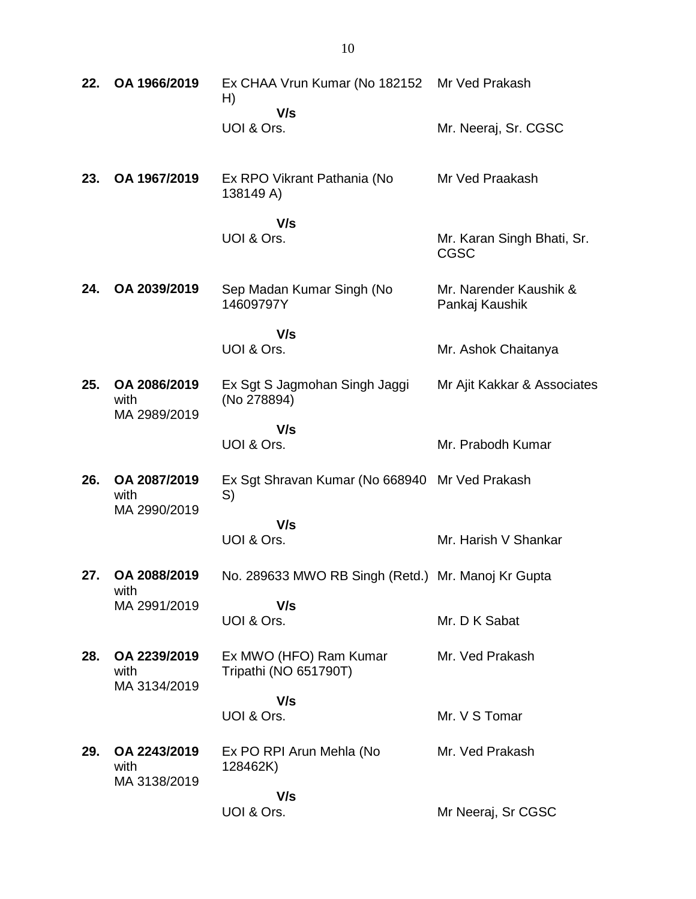| 22. | OA 1966/2019                         | Ex CHAA Vrun Kumar (No 182152<br>H)                  | Mr Ved Prakash                            |
|-----|--------------------------------------|------------------------------------------------------|-------------------------------------------|
|     |                                      | V/s<br>UOI & Ors.                                    | Mr. Neeraj, Sr. CGSC                      |
| 23. | OA 1967/2019                         | Ex RPO Vikrant Pathania (No<br>138149 A)             | Mr Ved Praakash                           |
|     |                                      | V/s<br>UOI & Ors.                                    | Mr. Karan Singh Bhati, Sr.<br><b>CGSC</b> |
| 24. | OA 2039/2019                         | Sep Madan Kumar Singh (No<br>14609797Y               | Mr. Narender Kaushik &<br>Pankaj Kaushik  |
|     |                                      | V/s<br>UOI & Ors.                                    | Mr. Ashok Chaitanya                       |
| 25. | OA 2086/2019<br>with<br>MA 2989/2019 | Ex Sgt S Jagmohan Singh Jaggi<br>(No 278894)         | Mr Ajit Kakkar & Associates               |
|     |                                      | V/s<br>UOI & Ors.                                    | Mr. Prabodh Kumar                         |
| 26. | OA 2087/2019<br>with<br>MA 2990/2019 | Ex Sgt Shravan Kumar (No 668940 Mr Ved Prakash<br>S) |                                           |
|     |                                      | V/s<br>UOI & Ors.                                    | Mr. Harish V Shankar                      |
| 27. | OA 2088/2019<br>with                 | No. 289633 MWO RB Singh (Retd.) Mr. Manoj Kr Gupta   |                                           |
|     | MA 2991/2019                         | V/s<br>UOI & Ors.                                    | Mr. D K Sabat                             |
| 28. | OA 2239/2019<br>with<br>MA 3134/2019 | Ex MWO (HFO) Ram Kumar<br>Tripathi (NO 651790T)      | Mr. Ved Prakash                           |
|     |                                      | V/s<br>UOI & Ors.                                    | Mr. V S Tomar                             |
| 29. | OA 2243/2019<br>with<br>MA 3138/2019 | Ex PO RPI Arun Mehla (No<br>128462K)                 | Mr. Ved Prakash                           |
|     |                                      | V/s<br>UOI & Ors.                                    | Mr Neeraj, Sr CGSC                        |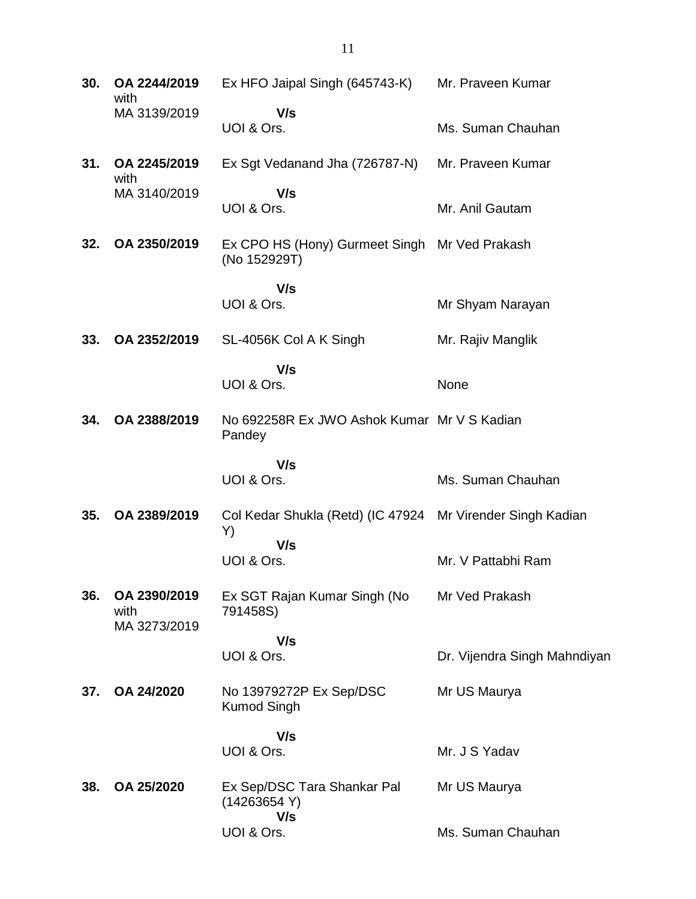| 30. | OA 2244/2019<br>with                 | Ex HFO Jaipal Singh (645743-K)                                          | Mr. Praveen Kumar            |
|-----|--------------------------------------|-------------------------------------------------------------------------|------------------------------|
|     | MA 3139/2019                         | V/s<br>UOI & Ors.                                                       | Ms. Suman Chauhan            |
| 31. | OA 2245/2019<br>with                 | Ex Sgt Vedanand Jha (726787-N)                                          | Mr. Praveen Kumar            |
|     | MA 3140/2019                         | V/s<br>UOI & Ors.                                                       | Mr. Anil Gautam              |
| 32. | OA 2350/2019                         | Ex CPO HS (Hony) Gurmeet Singh Mr Ved Prakash<br>(No 152929T)           |                              |
|     |                                      | V/s<br>UOI & Ors.                                                       | Mr Shyam Narayan             |
| 33. | OA 2352/2019                         | SL-4056K Col A K Singh                                                  | Mr. Rajiv Manglik            |
|     |                                      | V/s<br>UOI & Ors.                                                       | None                         |
| 34. | OA 2388/2019                         | No 692258R Ex JWO Ashok Kumar Mr V S Kadian<br>Pandey                   |                              |
|     |                                      | V/s<br>UOI & Ors.                                                       | Ms. Suman Chauhan            |
| 35. | OA 2389/2019                         | Col Kedar Shukla (Retd) (IC 47924 Mr Virender Singh Kadian<br>Y)<br>V/s |                              |
|     |                                      | UOI & Ors.                                                              | Mr. V Pattabhi Ram           |
| 36. | OA 2390/2019<br>with<br>MA 3273/2019 | Ex SGT Rajan Kumar Singh (No<br>791458S)                                | Mr Ved Prakash               |
|     |                                      | V/s<br>UOI & Ors.                                                       | Dr. Vijendra Singh Mahndiyan |
| 37. | OA 24/2020                           | No 13979272P Ex Sep/DSC<br><b>Kumod Singh</b>                           | Mr US Maurya                 |
|     |                                      | V/s<br>UOI & Ors.                                                       | Mr. J S Yadav                |
| 38. | OA 25/2020                           | Ex Sep/DSC Tara Shankar Pal<br>(14263654 Y)                             | Mr US Maurya                 |
|     |                                      | V/s<br>UOI & Ors.                                                       | Ms. Suman Chauhan            |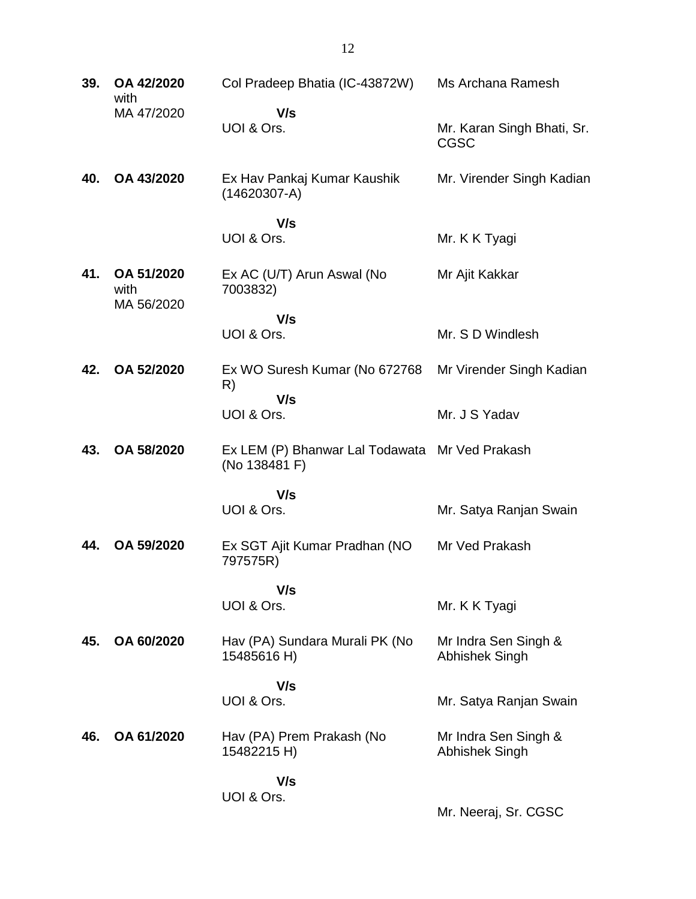| 39. | OA 42/2020<br>with               | Col Pradeep Bhatia (IC-43872W)                                  | Ms Archana Ramesh                         |
|-----|----------------------------------|-----------------------------------------------------------------|-------------------------------------------|
|     | MA 47/2020                       | V/s<br>UOI & Ors.                                               | Mr. Karan Singh Bhati, Sr.<br><b>CGSC</b> |
| 40. | OA 43/2020                       | Ex Hav Pankaj Kumar Kaushik<br>$(14620307-A)$                   | Mr. Virender Singh Kadian                 |
|     |                                  | V/s                                                             |                                           |
|     |                                  | UOI & Ors.                                                      | Mr. K K Tyagi                             |
| 41. | OA 51/2020<br>with<br>MA 56/2020 | Ex AC (U/T) Arun Aswal (No<br>7003832)                          | Mr Ajit Kakkar                            |
|     |                                  | V/s                                                             |                                           |
|     |                                  | UOI & Ors.                                                      | Mr. S D Windlesh                          |
| 42. | OA 52/2020                       | Ex WO Suresh Kumar (No 672768<br>R)                             | Mr Virender Singh Kadian                  |
|     |                                  | V/s<br>UOI & Ors.                                               | Mr. J S Yadav                             |
| 43. | OA 58/2020                       | Ex LEM (P) Bhanwar Lal Todawata Mr Ved Prakash<br>(No 138481 F) |                                           |
|     |                                  | V/s                                                             |                                           |
|     |                                  | UOI & Ors.                                                      | Mr. Satya Ranjan Swain                    |
| 44. | OA 59/2020                       | Ex SGT Ajit Kumar Pradhan (NO<br>797575R)                       | Mr Ved Prakash                            |
|     |                                  | V/s                                                             |                                           |
|     |                                  | UOI & Ors.                                                      | Mr. K K Tyagi                             |
| 45. | OA 60/2020                       | Hav (PA) Sundara Murali PK (No<br>15485616 H)                   | Mr Indra Sen Singh &<br>Abhishek Singh    |
|     |                                  | V/s                                                             |                                           |
|     |                                  | UOI & Ors.                                                      | Mr. Satya Ranjan Swain                    |
| 46. | OA 61/2020                       | Hav (PA) Prem Prakash (No<br>15482215 H)                        | Mr Indra Sen Singh &<br>Abhishek Singh    |
|     |                                  | V/s                                                             |                                           |
|     |                                  | UOI & Ors.                                                      | Mr. Neeraj, Sr. CGSC                      |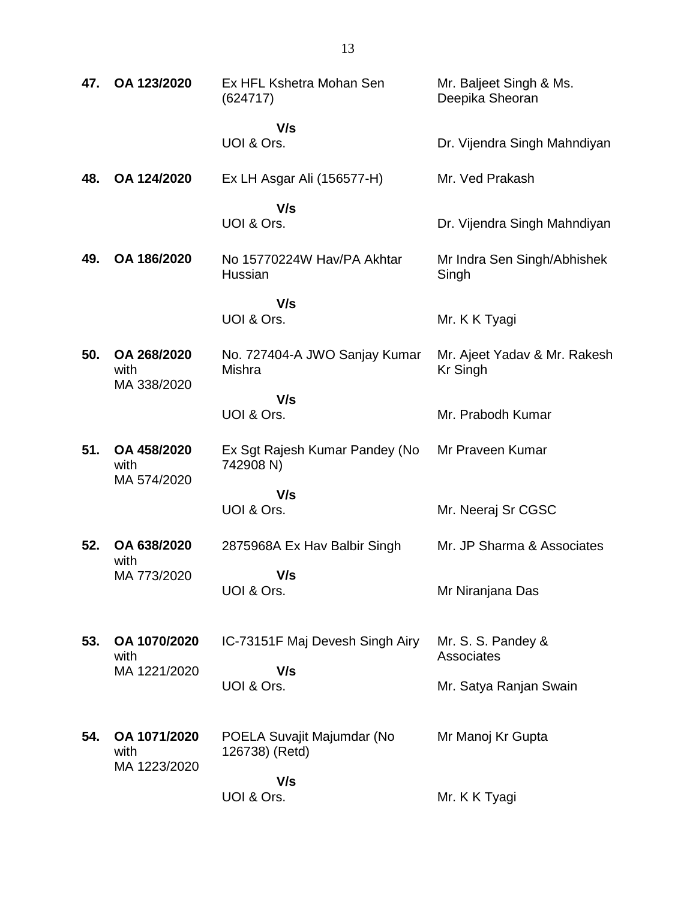| 47. | OA 123/2020                          | Ex HFL Kshetra Mohan Sen<br>(624717)        | Mr. Baljeet Singh & Ms.<br>Deepika Sheoran      |
|-----|--------------------------------------|---------------------------------------------|-------------------------------------------------|
|     |                                      | V/s                                         |                                                 |
|     |                                      | UOI & Ors.                                  | Dr. Vijendra Singh Mahndiyan                    |
| 48. | OA 124/2020                          | Ex LH Asgar Ali (156577-H)                  | Mr. Ved Prakash                                 |
|     |                                      | V/s<br>UOI & Ors.                           | Dr. Vijendra Singh Mahndiyan                    |
| 49. | OA 186/2020                          | No 15770224W Hav/PA Akhtar<br>Hussian       | Mr Indra Sen Singh/Abhishek<br>Singh            |
|     |                                      | V/s                                         |                                                 |
|     |                                      | UOI & Ors.                                  | Mr. K K Tyagi                                   |
| 50. | OA 268/2020<br>with<br>MA 338/2020   | No. 727404-A JWO Sanjay Kumar<br>Mishra     | Mr. Ajeet Yadav & Mr. Rakesh<br><b>Kr Singh</b> |
|     |                                      | V/s                                         |                                                 |
|     |                                      | UOI & Ors.                                  | Mr. Prabodh Kumar                               |
| 51. | OA 458/2020<br>with<br>MA 574/2020   | Ex Sgt Rajesh Kumar Pandey (No<br>742908 N) | Mr Praveen Kumar                                |
|     |                                      | V/s                                         |                                                 |
|     |                                      | UOI & Ors.                                  | Mr. Neeraj Sr CGSC                              |
| 52. | OA 638/2020<br>with                  | 2875968A Ex Hav Balbir Singh                | Mr. JP Sharma & Associates                      |
|     | MA 773/2020                          | V/s                                         |                                                 |
|     |                                      | UOI & Ors.                                  | Mr Niranjana Das                                |
| 53. | OA 1070/2020                         | IC-73151F Maj Devesh Singh Airy             | Mr. S. S. Pandey &                              |
|     | with<br>MA 1221/2020                 | V/s                                         | Associates                                      |
|     |                                      | UOI & Ors.                                  | Mr. Satya Ranjan Swain                          |
| 54. | OA 1071/2020<br>with<br>MA 1223/2020 | POELA Suvajit Majumdar (No                  | Mr Manoj Kr Gupta                               |
|     |                                      | 126738) (Retd)                              |                                                 |
|     |                                      |                                             |                                                 |
|     |                                      | V/s<br>UOI & Ors.                           | Mr. K K Tyagi                                   |